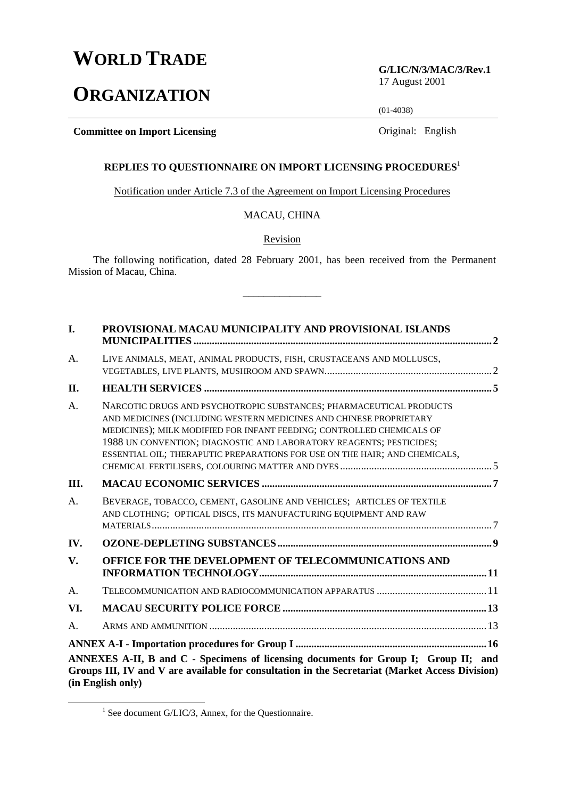## **WORLD TRADE**

# **ORGANIZATION**

**G/LIC/N/3/MAC/3/Rev.1** 17 August 2001

(01-4038)

**Committee on Import Licensing Committee on Import Licensing Original: English** 

## **REPLIES TO QUESTIONNAIRE ON IMPORT LICENSING PROCEDURES**<sup>1</sup>

Notification under Article 7.3 of the Agreement on Import Licensing Procedures

## MACAU, CHINA

Revision

The following notification, dated 28 February 2001, has been received from the Permanent Mission of Macau, China.

\_\_\_\_\_\_\_\_\_\_\_\_\_\_\_

| I.  | PROVISIONAL MACAU MUNICIPALITY AND PROVISIONAL ISLANDS                                                                                                                                                                                                                                                                                                                  |  |
|-----|-------------------------------------------------------------------------------------------------------------------------------------------------------------------------------------------------------------------------------------------------------------------------------------------------------------------------------------------------------------------------|--|
| A.  | LIVE ANIMALS, MEAT, ANIMAL PRODUCTS, FISH, CRUSTACEANS AND MOLLUSCS,                                                                                                                                                                                                                                                                                                    |  |
| II. |                                                                                                                                                                                                                                                                                                                                                                         |  |
| A.  | NARCOTIC DRUGS AND PSYCHOTROPIC SUBSTANCES; PHARMACEUTICAL PRODUCTS<br>AND MEDICINES (INCLUDING WESTERN MEDICINES AND CHINESE PROPRIETARY<br>MEDICINES); MILK MODIFIED FOR INFANT FEEDING; CONTROLLED CHEMICALS OF<br>1988 UN CONVENTION; DIAGNOSTIC AND LABORATORY REAGENTS; PESTICIDES;<br>ESSENTIAL OIL; THERAPUTIC PREPARATIONS FOR USE ON THE HAIR; AND CHEMICALS, |  |
| Ш.  |                                                                                                                                                                                                                                                                                                                                                                         |  |
| A.  | BEVERAGE, TOBACCO, CEMENT, GASOLINE AND VEHICLES; ARTICLES OF TEXTILE<br>AND CLOTHING; OPTICAL DISCS, ITS MANUFACTURING EQUIPMENT AND RAW                                                                                                                                                                                                                               |  |
| IV. |                                                                                                                                                                                                                                                                                                                                                                         |  |
| V.  | OFFICE FOR THE DEVELOPMENT OF TELECOMMUNICATIONS AND                                                                                                                                                                                                                                                                                                                    |  |
| A.  |                                                                                                                                                                                                                                                                                                                                                                         |  |
| VI. |                                                                                                                                                                                                                                                                                                                                                                         |  |
| A.  |                                                                                                                                                                                                                                                                                                                                                                         |  |
|     |                                                                                                                                                                                                                                                                                                                                                                         |  |
|     | ANNEXES A-II, B and C - Specimens of licensing documents for Group I; Group II; and<br>Groups III, IV and V are available for consultation in the Secretariat (Market Access Division)<br>(in English only)                                                                                                                                                             |  |

<sup>&</sup>lt;u>1</u>  $1$  See document G/LIC/3, Annex, for the Questionnaire.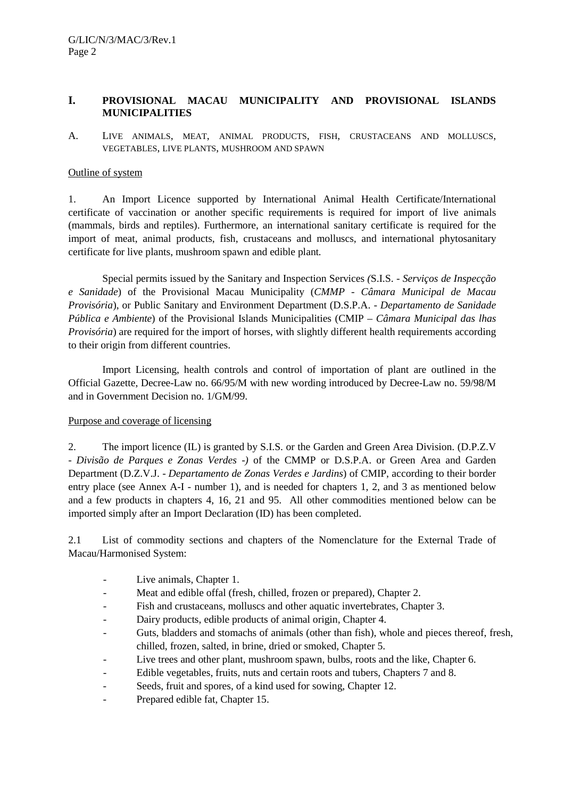#### **I. PROVISIONAL MACAU MUNICIPALITY AND PROVISIONAL ISLANDS MUNICIPALITIES**

A. LIVE ANIMALS, MEAT, ANIMAL PRODUCTS, FISH, CRUSTACEANS AND MOLLUSCS, VEGETABLES, LIVE PLANTS, MUSHROOM AND SPAWN

#### Outline of system

1. An Import Licence supported by International Animal Health Certificate/International certificate of vaccination or another specific requirements is required for import of live animals (mammals, birds and reptiles). Furthermore, an international sanitary certificate is required for the import of meat, animal products, fish, crustaceans and molluscs, and international phytosanitary certificate for live plants, mushroom spawn and edible plant*.*

Special permits issued by the Sanitary and Inspection Services *(*S.I.S. - *Serviços de Inspecção e Sanidade*) of the Provisional Macau Municipality (*CMMP - Câmara Municipal de Macau Provisória*), or Public Sanitary and Environment Department (D.S.P.A. - *Departamento de Sanidade Pública e Ambiente*) of the Provisional Islands Municipalities (CMIP – *Câmara Municipal das lhas Provisória*) are required for the import of horses, with slightly different health requirements according to their origin from different countries.

Import Licensing, health controls and control of importation of plant are outlined in the Official Gazette, Decree-Law no. 66/95/M with new wording introduced by Decree-Law no. 59/98/M and in Government Decision no. 1/GM/99.

#### Purpose and coverage of licensing

2. The import licence (IL) is granted by S.I.S. or the Garden and Green Area Division. (D.P.Z.V - *Divisão de Parques e Zonas Verdes* -*)* of the CMMP or D.S.P.A. or Green Area and Garden Department (D.Z.V.J. - *Departamento de Zonas Verdes e Jardins*) of CMIP, according to their border entry place (see Annex A-I - number 1), and is needed for chapters 1, 2, and 3 as mentioned below and a few products in chapters 4, 16, 21 and 95. All other commodities mentioned below can be imported simply after an Import Declaration (ID) has been completed.

2.1 List of commodity sections and chapters of the Nomenclature for the External Trade of Macau/Harmonised System:

- Live animals, Chapter 1.
- Meat and edible offal (fresh, chilled, frozen or prepared), Chapter 2.
- Fish and crustaceans, molluscs and other aquatic invertebrates, Chapter 3.
- Dairy products, edible products of animal origin, Chapter 4.
- Guts, bladders and stomachs of animals (other than fish), whole and pieces thereof, fresh, chilled, frozen, salted, in brine, dried or smoked, Chapter 5.
- Live trees and other plant, mushroom spawn, bulbs, roots and the like, Chapter 6.
- Edible vegetables, fruits*,* nuts and certain roots and tubers, Chapters 7 and 8.
- Seeds, fruit and spores, of a kind used for sowing, Chapter 12.
- Prepared edible fat, Chapter 15.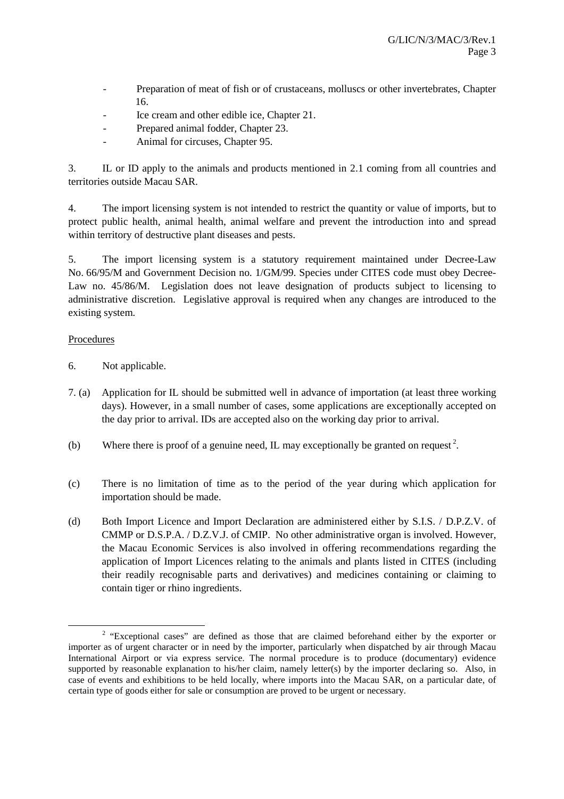- Preparation of meat of fish or of crustaceans, molluscs or other invertebrates, Chapter 16.
- Ice cream and other edible ice, Chapter 21.
- Prepared animal fodder, Chapter 23.
- Animal for circuses, Chapter 95.

3. IL or ID apply to the animals and products mentioned in 2.1 coming from all countries and territories outside Macau SAR.

4. The import licensing system is not intended to restrict the quantity or value of imports, but to protect public health, animal health, animal welfare and prevent the introduction into and spread within territory of destructive plant diseases and pests.

5. The import licensing system is a statutory requirement maintained under Decree-Law No. 66/95/M and Government Decision no. 1/GM/99. Species under CITES code must obey Decree-Law no. 45/86/M. Legislation does not leave designation of products subject to licensing to administrative discretion. Legislative approval is required when any changes are introduced to the existing system.

## Procedures

- 6. Not applicable.
- 7. (a) Application for IL should be submitted well in advance of importation (at least three working days). However, in a small number of cases, some applications are exceptionally accepted on the day prior to arrival. IDs are accepted also on the working day prior to arrival.
- (b) Where there is proof of a genuine need, IL may exceptionally be granted on request<sup>2</sup>.
- (c) There is no limitation of time as to the period of the year during which application for importation should be made.
- (d) Both Import Licence and Import Declaration are administered either by S.I.S. / D.P.Z.V. of CMMP or D.S.P.A. / D.Z.V.J. of CMIP. No other administrative organ is involved. However, the Macau Economic Services is also involved in offering recommendations regarding the application of Import Licences relating to the animals and plants listed in CITES (including their readily recognisable parts and derivatives) and medicines containing or claiming to contain tiger or rhino ingredients.

 $\overline{\phantom{a}}$ <sup>2</sup> "Exceptional cases" are defined as those that are claimed beforehand either by the exporter or importer as of urgent character or in need by the importer, particularly when dispatched by air through Macau International Airport or via express service. The normal procedure is to produce (documentary) evidence supported by reasonable explanation to his/her claim, namely letter(s) by the importer declaring so. Also, in case of events and exhibitions to be held locally, where imports into the Macau SAR, on a particular date, of certain type of goods either for sale or consumption are proved to be urgent or necessary.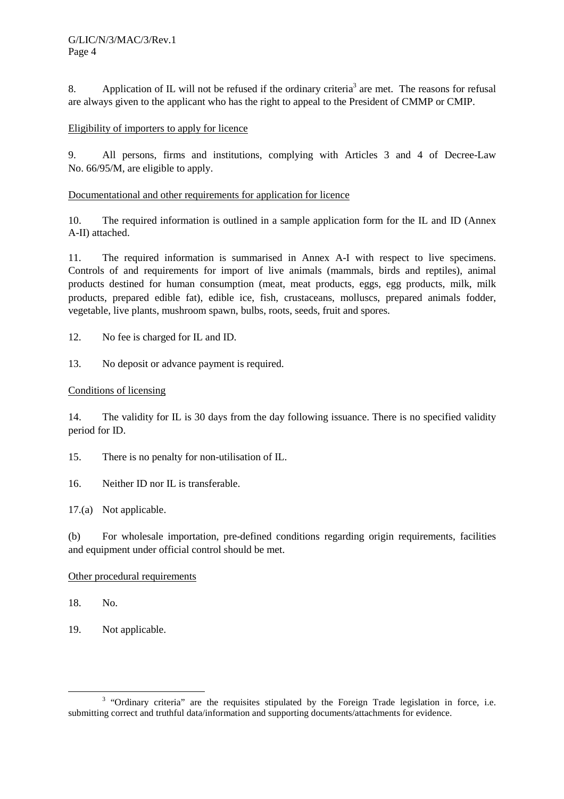8. Application of IL will not be refused if the ordinary criteria<sup>3</sup> are met. The reasons for refusal are always given to the applicant who has the right to appeal to the President of CMMP or CMIP.

## Eligibility of importers to apply for licence

9. All persons, firms and institutions, complying with Articles 3 and 4 of Decree-Law No. 66/95/M, are eligible to apply.

## Documentational and other requirements for application for licence

10. The required information is outlined in a sample application form for the IL and ID (Annex A-II) attached.

11. The required information is summarised in Annex A-I with respect to live specimens. Controls of and requirements for import of live animals (mammals, birds and reptiles), animal products destined for human consumption (meat, meat products, eggs, egg products, milk, milk products, prepared edible fat), edible ice, fish, crustaceans, molluscs, prepared animals fodder, vegetable, live plants, mushroom spawn, bulbs, roots, seeds, fruit and spores.

12. No fee is charged for IL and ID.

13. No deposit or advance payment is required.

## Conditions of licensing

14. The validity for IL is 30 days from the day following issuance. There is no specified validity period for ID.

- 15. There is no penalty for non-utilisation of IL.
- 16. Neither ID nor IL is transferable.
- 17.(a) Not applicable.

(b) For wholesale importation, pre-defined conditions regarding origin requirements, facilities and equipment under official control should be met.

## Other procedural requirements

18. No.

19. Not applicable.

 <sup>3</sup> <sup>3</sup> "Ordinary criteria" are the requisites stipulated by the Foreign Trade legislation in force, i.e. submitting correct and truthful data/information and supporting documents/attachments for evidence.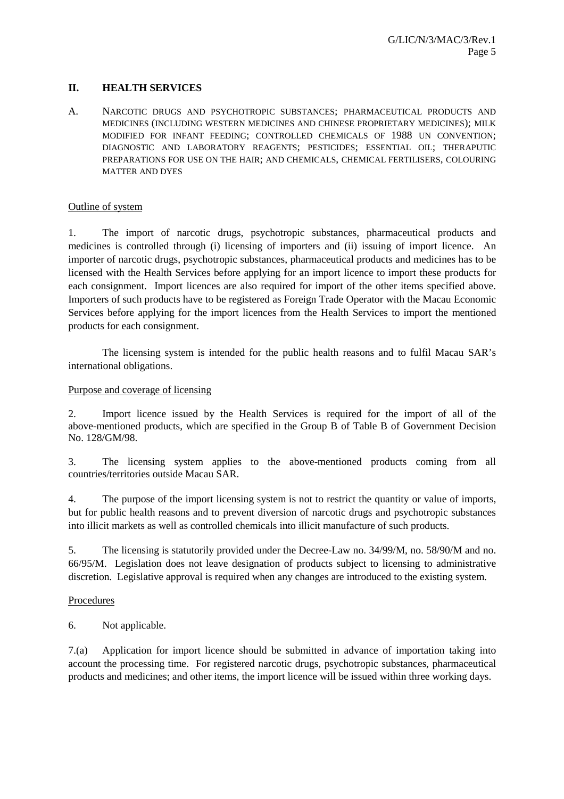## **II. HEALTH SERVICES**

A. NARCOTIC DRUGS AND PSYCHOTROPIC SUBSTANCES; PHARMACEUTICAL PRODUCTS AND MEDICINES (INCLUDING WESTERN MEDICINES AND CHINESE PROPRIETARY MEDICINES); MILK MODIFIED FOR INFANT FEEDING; CONTROLLED CHEMICALS OF 1988 UN CONVENTION; DIAGNOSTIC AND LABORATORY REAGENTS; PESTICIDES; ESSENTIAL OIL; THERAPUTIC PREPARATIONS FOR USE ON THE HAIR; AND CHEMICALS, CHEMICAL FERTILISERS, COLOURING MATTER AND DYES

#### Outline of system

1. The import of narcotic drugs, psychotropic substances, pharmaceutical products and medicines is controlled through (i) licensing of importers and (ii) issuing of import licence. An importer of narcotic drugs, psychotropic substances, pharmaceutical products and medicines has to be licensed with the Health Services before applying for an import licence to import these products for each consignment. Import licences are also required for import of the other items specified above. Importers of such products have to be registered as Foreign Trade Operator with the Macau Economic Services before applying for the import licences from the Health Services to import the mentioned products for each consignment.

 The licensing system is intended for the public health reasons and to fulfil Macau SAR's international obligations.

#### Purpose and coverage of licensing

2. Import licence issued by the Health Services is required for the import of all of the above-mentioned products, which are specified in the Group B of Table B of Government Decision No. 128/GM/98.

3. The licensing system applies to the above-mentioned products coming from all countries/territories outside Macau SAR.

4. The purpose of the import licensing system is not to restrict the quantity or value of imports, but for public health reasons and to prevent diversion of narcotic drugs and psychotropic substances into illicit markets as well as controlled chemicals into illicit manufacture of such products.

5. The licensing is statutorily provided under the Decree-Law no. 34/99/M, no. 58/90/M and no. 66/95/M. Legislation does not leave designation of products subject to licensing to administrative discretion. Legislative approval is required when any changes are introduced to the existing system.

#### Procedures

6. Not applicable.

7.(a) Application for import licence should be submitted in advance of importation taking into account the processing time. For registered narcotic drugs, psychotropic substances, pharmaceutical products and medicines; and other items, the import licence will be issued within three working days.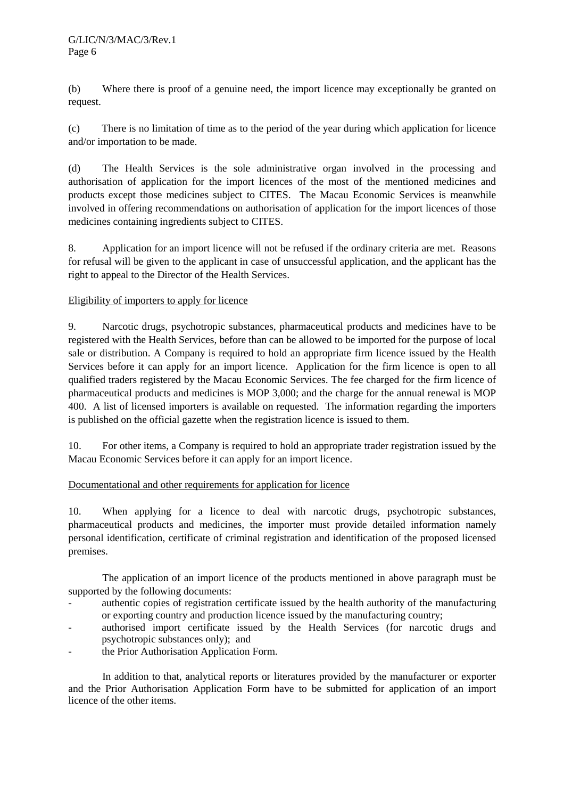(b) Where there is proof of a genuine need, the import licence may exceptionally be granted on request.

(c) There is no limitation of time as to the period of the year during which application for licence and/or importation to be made.

(d) The Health Services is the sole administrative organ involved in the processing and authorisation of application for the import licences of the most of the mentioned medicines and products except those medicines subject to CITES. The Macau Economic Services is meanwhile involved in offering recommendations on authorisation of application for the import licences of those medicines containing ingredients subject to CITES.

8. Application for an import licence will not be refused if the ordinary criteria are met. Reasons for refusal will be given to the applicant in case of unsuccessful application, and the applicant has the right to appeal to the Director of the Health Services.

## Eligibility of importers to apply for licence

9. Narcotic drugs, psychotropic substances, pharmaceutical products and medicines have to be registered with the Health Services, before than can be allowed to be imported for the purpose of local sale or distribution. A Company is required to hold an appropriate firm licence issued by the Health Services before it can apply for an import licence. Application for the firm licence is open to all qualified traders registered by the Macau Economic Services. The fee charged for the firm licence of pharmaceutical products and medicines is MOP 3,000; and the charge for the annual renewal is MOP 400. A list of licensed importers is available on requested. The information regarding the importers is published on the official gazette when the registration licence is issued to them.

10. For other items, a Company is required to hold an appropriate trader registration issued by the Macau Economic Services before it can apply for an import licence.

## Documentational and other requirements for application for licence

10. When applying for a licence to deal with narcotic drugs, psychotropic substances, pharmaceutical products and medicines, the importer must provide detailed information namely personal identification, certificate of criminal registration and identification of the proposed licensed premises.

The application of an import licence of the products mentioned in above paragraph must be supported by the following documents:

- authentic copies of registration certificate issued by the health authority of the manufacturing or exporting country and production licence issued by the manufacturing country;
- authorised import certificate issued by the Health Services (for narcotic drugs and psychotropic substances only); and
- the Prior Authorisation Application Form.

In addition to that, analytical reports or literatures provided by the manufacturer or exporter and the Prior Authorisation Application Form have to be submitted for application of an import licence of the other items.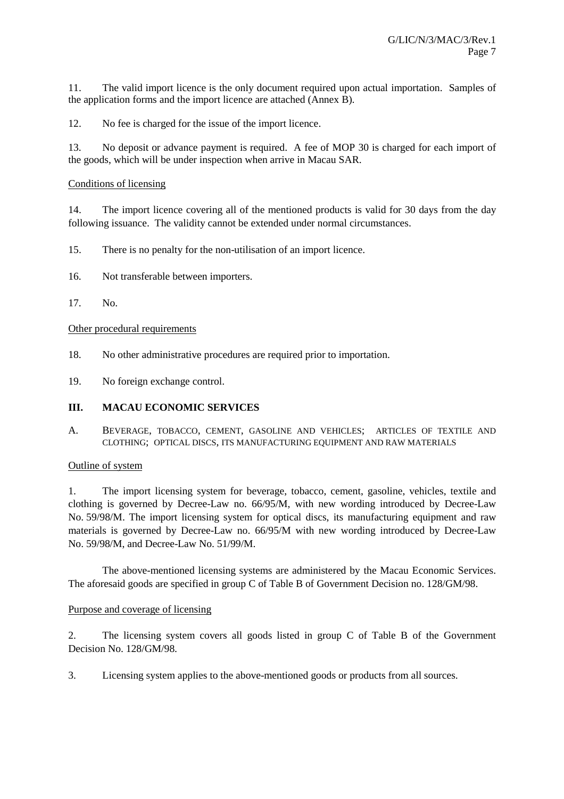11. The valid import licence is the only document required upon actual importation. Samples of the application forms and the import licence are attached (Annex B).

12. No fee is charged for the issue of the import licence.

13. No deposit or advance payment is required. A fee of MOP 30 is charged for each import of the goods, which will be under inspection when arrive in Macau SAR.

#### Conditions of licensing

14. The import licence covering all of the mentioned products is valid for 30 days from the day following issuance. The validity cannot be extended under normal circumstances.

- 15. There is no penalty for the non-utilisation of an import licence.
- 16. Not transferable between importers.
- 17. No.

#### Other procedural requirements

- 18. No other administrative procedures are required prior to importation.
- 19. No foreign exchange control.

#### **III. MACAU ECONOMIC SERVICES**

A. BEVERAGE, TOBACCO, CEMENT, GASOLINE AND VEHICLES; ARTICLES OF TEXTILE AND CLOTHING; OPTICAL DISCS, ITS MANUFACTURING EQUIPMENT AND RAW MATERIALS

#### Outline of system

1. The import licensing system for beverage, tobacco, cement, gasoline, vehicles, textile and clothing is governed by Decree-Law no. 66/95/M, with new wording introduced by Decree-Law No. 59/98/M. The import licensing system for optical discs, its manufacturing equipment and raw materials is governed by Decree-Law no. 66/95/M with new wording introduced by Decree-Law No. 59/98/M, and Decree-Law No. 51/99/M.

The above-mentioned licensing systems are administered by the Macau Economic Services. The aforesaid goods are specified in group C of Table B of Government Decision no. 128/GM/98.

#### Purpose and coverage of licensing

2. The licensing system covers all goods listed in group C of Table B of the Government Decision No. 128/GM/98.

3. Licensing system applies to the above-mentioned goods or products from all sources.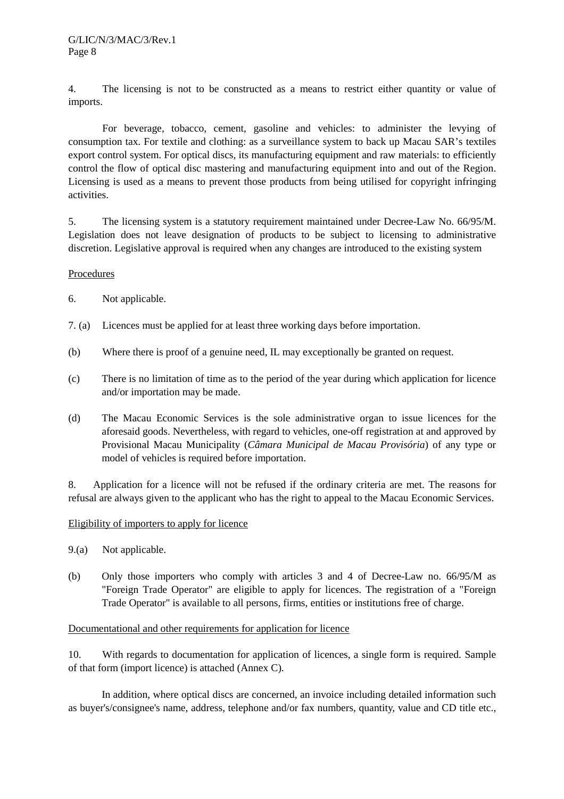4. The licensing is not to be constructed as a means to restrict either quantity or value of imports.

For beverage, tobacco, cement, gasoline and vehicles: to administer the levying of consumption tax. For textile and clothing: as a surveillance system to back up Macau SAR's textiles export control system. For optical discs, its manufacturing equipment and raw materials: to efficiently control the flow of optical disc mastering and manufacturing equipment into and out of the Region. Licensing is used as a means to prevent those products from being utilised for copyright infringing activities.

5. The licensing system is a statutory requirement maintained under Decree-Law No. 66/95/M. Legislation does not leave designation of products to be subject to licensing to administrative discretion. Legislative approval is required when any changes are introduced to the existing system

#### Procedures

- 6. Not applicable.
- 7. (a) Licences must be applied for at least three working days before importation.
- (b) Where there is proof of a genuine need, IL may exceptionally be granted on request.
- (c) There is no limitation of time as to the period of the year during which application for licence and/or importation may be made.
- (d) The Macau Economic Services is the sole administrative organ to issue licences for the aforesaid goods. Nevertheless, with regard to vehicles, one-off registration at and approved by Provisional Macau Municipality (*Câmara Municipal de Macau Provisória*) of any type or model of vehicles is required before importation.

8. Application for a licence will not be refused if the ordinary criteria are met. The reasons for refusal are always given to the applicant who has the right to appeal to the Macau Economic Services.

## Eligibility of importers to apply for licence

- 9.(a) Not applicable.
- (b) Only those importers who comply with articles 3 and 4 of Decree-Law no. 66/95/M as "Foreign Trade Operator" are eligible to apply for licences. The registration of a "Foreign Trade Operator" is available to all persons, firms, entities or institutions free of charge.

## Documentational and other requirements for application for licence

10. With regards to documentation for application of licences, a single form is required. Sample of that form (import licence) is attached (Annex C).

In addition, where optical discs are concerned, an invoice including detailed information such as buyer's/consignee's name, address, telephone and/or fax numbers, quantity, value and CD title etc.,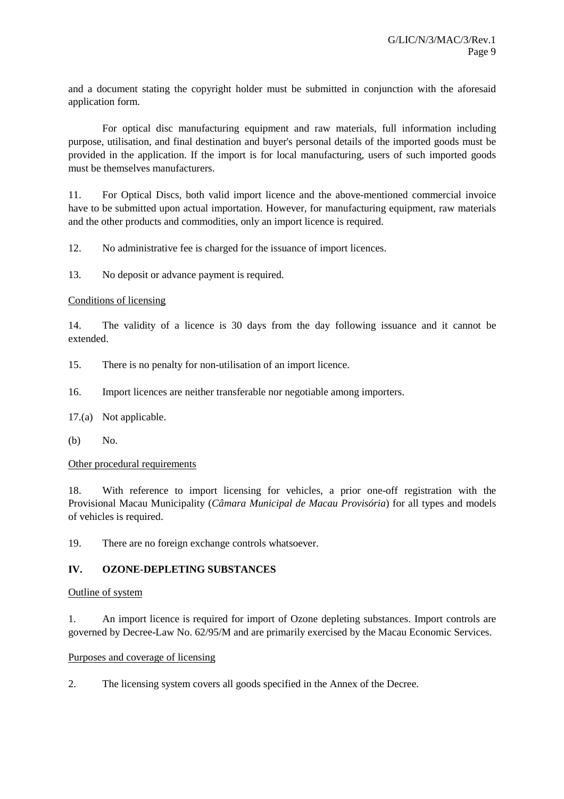and a document stating the copyright holder must be submitted in conjunction with the aforesaid application form.

For optical disc manufacturing equipment and raw materials, full information including purpose, utilisation, and final destination and buyer's personal details of the imported goods must be provided in the application. If the import is for local manufacturing, users of such imported goods must be themselves manufacturers.

11. For Optical Discs, both valid import licence and the above-mentioned commercial invoice have to be submitted upon actual importation. However, for manufacturing equipment, raw materials and the other products and commodities, only an import licence is required.

12. No administrative fee is charged for the issuance of import licences.

13. No deposit or advance payment is required.

#### Conditions of licensing

14. The validity of a licence is 30 days from the day following issuance and it cannot be extended.

15. There is no penalty for non-utilisation of an import licence.

16. Import licences are neither transferable nor negotiable among importers.

17.(a) Not applicable.

(b) No.

#### Other procedural requirements

18. With reference to import licensing for vehicles, a prior one-off registration with the Provisional Macau Municipality (*Câmara Municipal de Macau Provisória*) for all types and models of vehicles is required.

19. There are no foreign exchange controls whatsoever.

## **IV. OZONE-DEPLETING SUBSTANCES**

#### Outline of system

1. An import licence is required for import of Ozone depleting substances. Import controls are governed by Decree-Law No. 62/95/M and are primarily exercised by the Macau Economic Services.

#### Purposes and coverage of licensing

2. The licensing system covers all goods specified in the Annex of the Decree.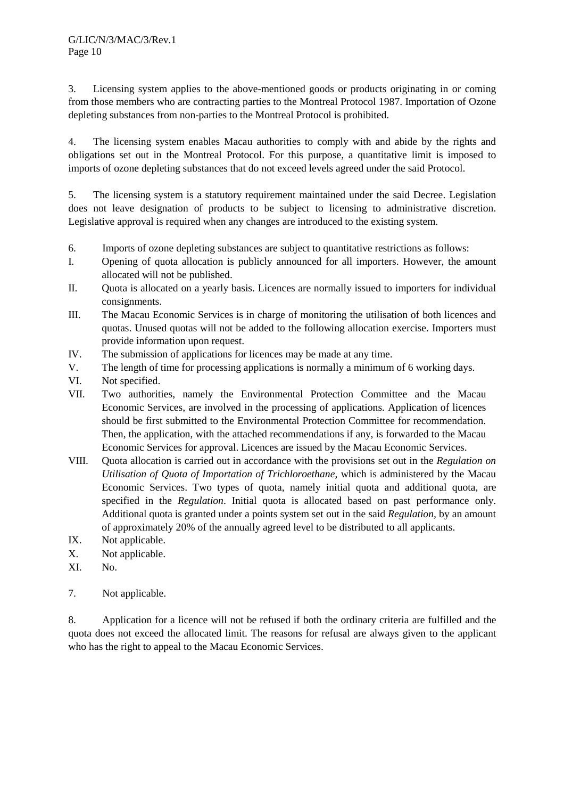3. Licensing system applies to the above-mentioned goods or products originating in or coming from those members who are contracting parties to the Montreal Protocol 1987. Importation of Ozone depleting substances from non-parties to the Montreal Protocol is prohibited.

4. The licensing system enables Macau authorities to comply with and abide by the rights and obligations set out in the Montreal Protocol. For this purpose, a quantitative limit is imposed to imports of ozone depleting substances that do not exceed levels agreed under the said Protocol.

5. The licensing system is a statutory requirement maintained under the said Decree. Legislation does not leave designation of products to be subject to licensing to administrative discretion. Legislative approval is required when any changes are introduced to the existing system.

- 6. Imports of ozone depleting substances are subject to quantitative restrictions as follows:
- I. Opening of quota allocation is publicly announced for all importers. However, the amount allocated will not be published.
- II. Quota is allocated on a yearly basis. Licences are normally issued to importers for individual consignments.
- III. The Macau Economic Services is in charge of monitoring the utilisation of both licences and quotas. Unused quotas will not be added to the following allocation exercise. Importers must provide information upon request.
- IV. The submission of applications for licences may be made at any time.
- V. The length of time for processing applications is normally a minimum of 6 working days.
- VI. Not specified.
- VII. Two authorities, namely the Environmental Protection Committee and the Macau Economic Services, are involved in the processing of applications. Application of licences should be first submitted to the Environmental Protection Committee for recommendation. Then, the application, with the attached recommendations if any, is forwarded to the Macau Economic Services for approval. Licences are issued by the Macau Economic Services.
- VIII. Quota allocation is carried out in accordance with the provisions set out in the *Regulation on Utilisation of Quota of Importation of Trichloroethane*, which is administered by the Macau Economic Services. Two types of quota, namely initial quota and additional quota, are specified in the *Regulation*. Initial quota is allocated based on past performance only. Additional quota is granted under a points system set out in the said *Regulation,* by an amount of approximately 20% of the annually agreed level to be distributed to all applicants.
- IX. Not applicable.
- X. Not applicable.
- XI. No.
- 7. Not applicable.

8. Application for a licence will not be refused if both the ordinary criteria are fulfilled and the quota does not exceed the allocated limit. The reasons for refusal are always given to the applicant who has the right to appeal to the Macau Economic Services.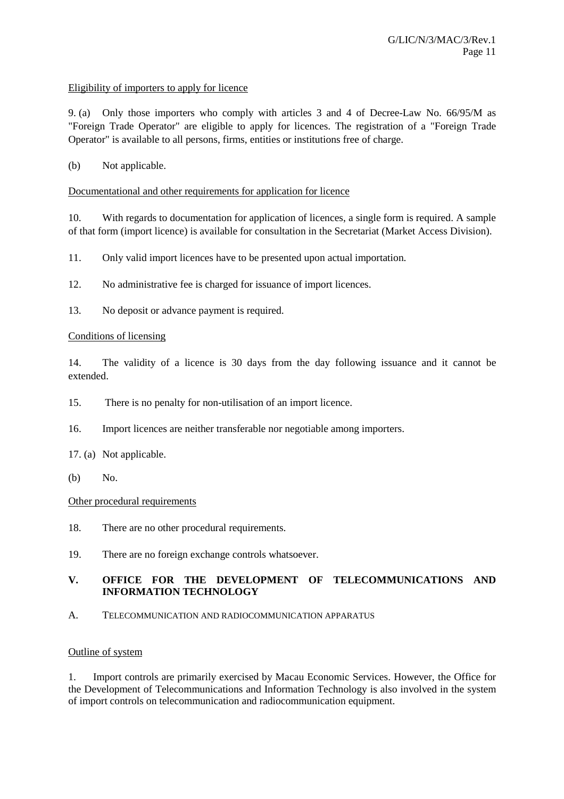#### Eligibility of importers to apply for licence

9. (a) Only those importers who comply with articles 3 and 4 of Decree-Law No. 66/95/M as "Foreign Trade Operator" are eligible to apply for licences. The registration of a "Foreign Trade Operator" is available to all persons, firms, entities or institutions free of charge.

## (b) Not applicable.

#### Documentational and other requirements for application for licence

10. With regards to documentation for application of licences, a single form is required. A sample of that form (import licence) is available for consultation in the Secretariat (Market Access Division).

11. Only valid import licences have to be presented upon actual importation.

- 12. No administrative fee is charged for issuance of import licences.
- 13. No deposit or advance payment is required.

#### Conditions of licensing

14. The validity of a licence is 30 days from the day following issuance and it cannot be extended.

- 15. There is no penalty for non-utilisation of an import licence.
- 16. Import licences are neither transferable nor negotiable among importers.
- 17. (a) Not applicable.
- (b) No.

#### Other procedural requirements

- 18. There are no other procedural requirements.
- 19. There are no foreign exchange controls whatsoever.

## **V. OFFICE FOR THE DEVELOPMENT OF TELECOMMUNICATIONS AND INFORMATION TECHNOLOGY**

A. TELECOMMUNICATION AND RADIOCOMMUNICATION APPARATUS

#### Outline of system

1. Import controls are primarily exercised by Macau Economic Services. However, the Office for the Development of Telecommunications and Information Technology is also involved in the system of import controls on telecommunication and radiocommunication equipment.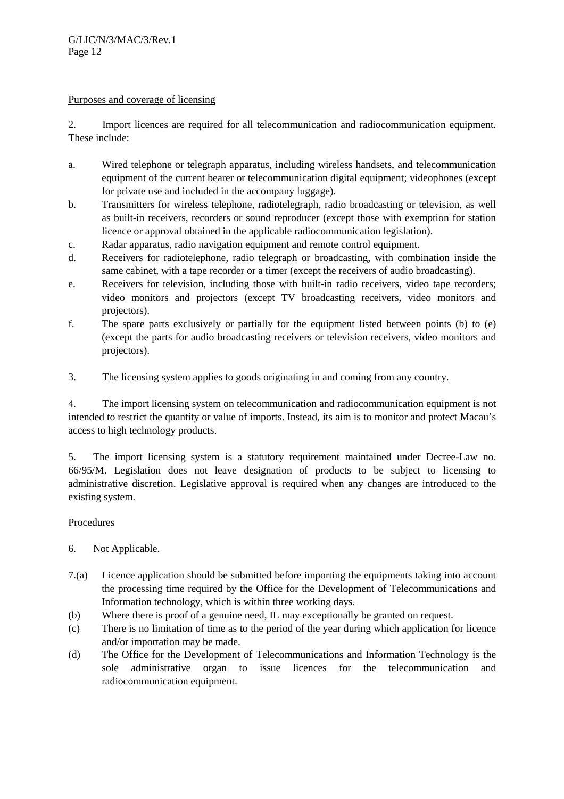#### Purposes and coverage of licensing

2. Import licences are required for all telecommunication and radiocommunication equipment. These include:

- a. Wired telephone or telegraph apparatus, including wireless handsets, and telecommunication equipment of the current bearer or telecommunication digital equipment; videophones (except for private use and included in the accompany luggage).
- b. Transmitters for wireless telephone, radiotelegraph, radio broadcasting or television, as well as built-in receivers, recorders or sound reproducer (except those with exemption for station licence or approval obtained in the applicable radiocommunication legislation).
- c. Radar apparatus, radio navigation equipment and remote control equipment.
- d. Receivers for radiotelephone, radio telegraph or broadcasting, with combination inside the same cabinet, with a tape recorder or a timer (except the receivers of audio broadcasting).
- e. Receivers for television, including those with built-in radio receivers, video tape recorders; video monitors and projectors (except TV broadcasting receivers, video monitors and projectors).
- f. The spare parts exclusively or partially for the equipment listed between points (b) to (e) (except the parts for audio broadcasting receivers or television receivers, video monitors and projectors).
- 3. The licensing system applies to goods originating in and coming from any country.

4. The import licensing system on telecommunication and radiocommunication equipment is not intended to restrict the quantity or value of imports. Instead, its aim is to monitor and protect Macau's access to high technology products.

5. The import licensing system is a statutory requirement maintained under Decree-Law no. 66/95/M. Legislation does not leave designation of products to be subject to licensing to administrative discretion. Legislative approval is required when any changes are introduced to the existing system.

## Procedures

- 6. Not Applicable.
- 7.(a) Licence application should be submitted before importing the equipments taking into account the processing time required by the Office for the Development of Telecommunications and Information technology, which is within three working days.
- (b) Where there is proof of a genuine need, IL may exceptionally be granted on request.
- (c) There is no limitation of time as to the period of the year during which application for licence and/or importation may be made.
- (d) The Office for the Development of Telecommunications and Information Technology is the sole administrative organ to issue licences for the telecommunication and radiocommunication equipment.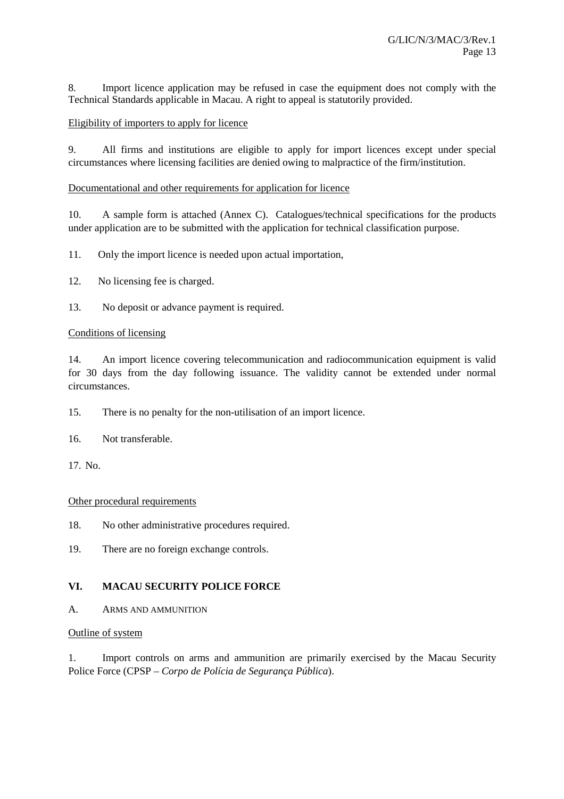8. Import licence application may be refused in case the equipment does not comply with the Technical Standards applicable in Macau. A right to appeal is statutorily provided.

#### Eligibility of importers to apply for licence

9. All firms and institutions are eligible to apply for import licences except under special circumstances where licensing facilities are denied owing to malpractice of the firm/institution.

#### Documentational and other requirements for application for licence

10. A sample form is attached (Annex C). Catalogues/technical specifications for the products under application are to be submitted with the application for technical classification purpose.

11. Only the import licence is needed upon actual importation,

- 12. No licensing fee is charged.
- 13. No deposit or advance payment is required.

#### Conditions of licensing

14. An import licence covering telecommunication and radiocommunication equipment is valid for 30 days from the day following issuance. The validity cannot be extended under normal circumstances.

15. There is no penalty for the non-utilisation of an import licence.

16. Not transferable.

17. No.

#### Other procedural requirements

18. No other administrative procedures required.

19. There are no foreign exchange controls.

## **VI. MACAU SECURITY POLICE FORCE**

A. ARMS AND AMMUNITION

#### Outline of system

1. Import controls on arms and ammunition are primarily exercised by the Macau Security Police Force (CPSP – *Corpo de Polícia de Segurança Pública*).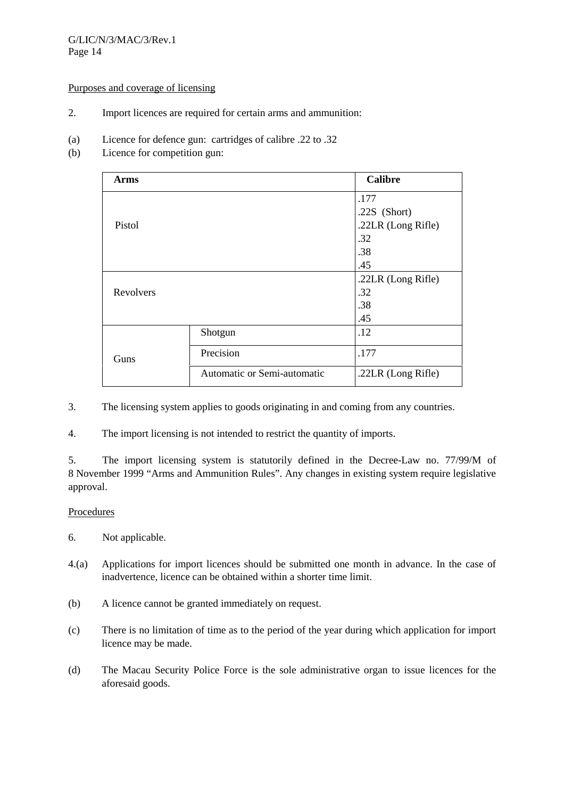#### G/LIC/N/3/MAC/3/Rev.1 Page 14

#### Purposes and coverage of licensing

- 2. Import licences are required for certain arms and ammunition:
- (a) Licence for defence gun: cartridges of calibre .22 to .32
- (b) Licence for competition gun:

| <b>Arms</b> |                             | <b>Calibre</b>     |
|-------------|-----------------------------|--------------------|
|             |                             | .177               |
|             |                             | .22 $S$ (Short)    |
| Pistol      |                             | .22LR (Long Rifle) |
|             |                             | .32                |
|             |                             | .38                |
|             |                             | .45                |
|             |                             | .22LR (Long Rifle) |
| Revolvers   |                             | .32                |
|             |                             | .38                |
|             |                             | .45                |
|             | Shotgun                     | .12                |
| Guns        | Precision                   | .177               |
|             | Automatic or Semi-automatic | .22LR (Long Rifle) |

3. The licensing system applies to goods originating in and coming from any countries.

4. The import licensing is not intended to restrict the quantity of imports.

5. The import licensing system is statutorily defined in the Decree-Law no. 77/99/M of 8 November 1999 "Arms and Ammunition Rules". Any changes in existing system require legislative approval.

## **Procedures**

- 6. Not applicable.
- 4.(a) Applications for import licences should be submitted one month in advance. In the case of inadvertence, licence can be obtained within a shorter time limit.
- (b) A licence cannot be granted immediately on request.
- (c) There is no limitation of time as to the period of the year during which application for import licence may be made.
- (d) The Macau Security Police Force is the sole administrative organ to issue licences for the aforesaid goods.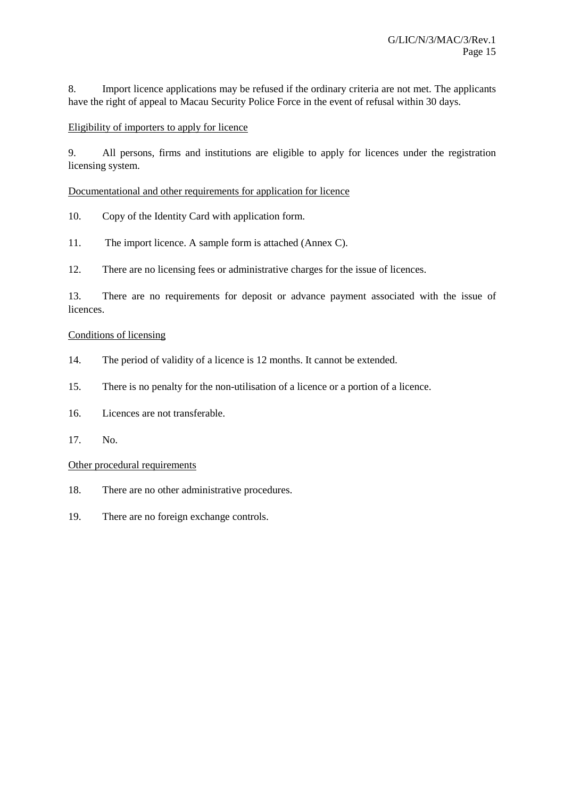8. Import licence applications may be refused if the ordinary criteria are not met. The applicants have the right of appeal to Macau Security Police Force in the event of refusal within 30 days.

## Eligibility of importers to apply for licence

9. All persons, firms and institutions are eligible to apply for licences under the registration licensing system.

Documentational and other requirements for application for licence

- 10. Copy of the Identity Card with application form.
- 11. The import licence. A sample form is attached (Annex C).

12. There are no licensing fees or administrative charges for the issue of licences.

13. There are no requirements for deposit or advance payment associated with the issue of **licences** 

#### Conditions of licensing

- 14. The period of validity of a licence is 12 months. It cannot be extended.
- 15. There is no penalty for the non-utilisation of a licence or a portion of a licence.
- 16. Licences are not transferable.
- 17. No.

#### Other procedural requirements

- 18. There are no other administrative procedures.
- 19. There are no foreign exchange controls.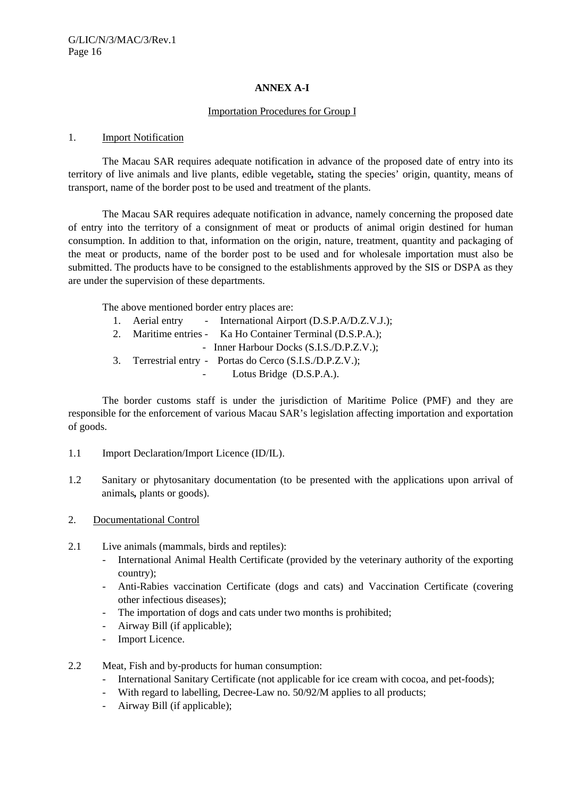## **ANNEX A-I**

#### Importation Procedures for Group I

#### 1. Import Notification

The Macau SAR requires adequate notification in advance of the proposed date of entry into its territory of live animals and live plants, edible vegetable*,* stating the species' origin, quantity, means of transport, name of the border post to be used and treatment of the plants.

The Macau SAR requires adequate notification in advance, namely concerning the proposed date of entry into the territory of a consignment of meat or products of animal origin destined for human consumption. In addition to that, information on the origin, nature, treatment, quantity and packaging of the meat or products, name of the border post to be used and for wholesale importation must also be submitted. The products have to be consigned to the establishments approved by the SIS or DSPA as they are under the supervision of these departments.

The above mentioned border entry places are:

|  | 1. Aerial entry - International Airport (D.S.P.A/D.Z.V.J.);                                                                     |
|--|---------------------------------------------------------------------------------------------------------------------------------|
|  | 2. Maritime entries - Ka Ho Container Terminal (D.S.P.A.);                                                                      |
|  | - Inner Harbour Docks (S.I.S./D.P.Z.V.);                                                                                        |
|  | 3. Terrestrial entry - Portas do Cerco (S.I.S./D.P.Z.V.);                                                                       |
|  | $\mathbf{L}_{\text{atro}} \mathbf{D}_{\text{m}} \cdot \mathbf{A}_{\text{eq}}$ ( $\mathbf{D} \mathbf{C} \mathbf{D} \mathbf{A}$ ) |

Lotus Bridge (D.S.P.A.).

The border customs staff is under the jurisdiction of Maritime Police (PMF) and they are responsible for the enforcement of various Macau SAR's legislation affecting importation and exportation of goods.

- 1.1 Import Declaration/Import Licence (ID/IL).
- 1.2 Sanitary or phytosanitary documentation (to be presented with the applications upon arrival of animals*,* plants or goods).
- 2. Documentational Control
- 2.1 Live animals (mammals, birds and reptiles):
	- International Animal Health Certificate (provided by the veterinary authority of the exporting country);
	- Anti-Rabies vaccination Certificate (dogs and cats) and Vaccination Certificate (covering other infectious diseases);
	- The importation of dogs and cats under two months is prohibited;
	- Airway Bill (if applicable);
	- Import Licence.
- 2.2 Meat, Fish and by-products for human consumption:
	- International Sanitary Certificate (not applicable for ice cream with cocoa, and pet-foods);
	- With regard to labelling, Decree-Law no. 50/92/M applies to all products;
	- Airway Bill (if applicable);